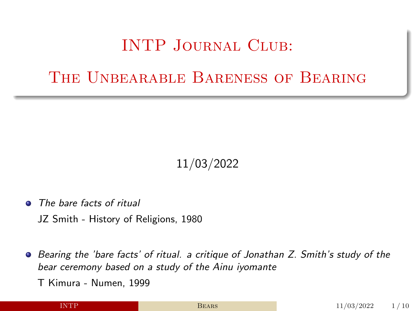#### INTP Journal Club:

#### <span id="page-0-0"></span>The Unbearable Bareness of Bearing

#### 11/03/2022

- The bare facts of ritual
	- JZ Smith History of Religions, 1980
- **•** Bearing the 'bare facts' of ritual. a critique of Jonathan Z. Smith's study of the bear ceremony based on a study of the Ainu iyomante

T Kimura - Numen, 1999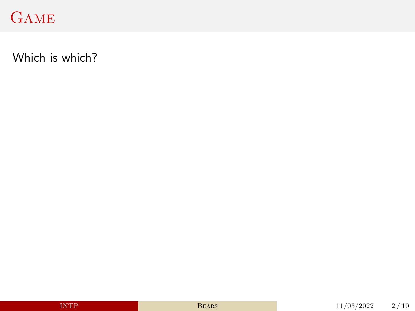# **GAME**

Which is which?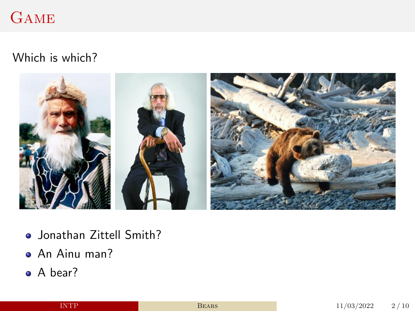#### **GAME**

#### Which is which?



- Jonathan Zittell Smith?
- An Ainu man?
- A bear?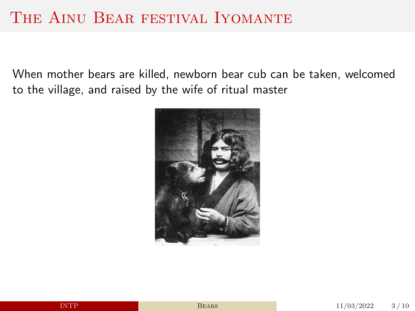#### THE AINU BEAR FESTIVAL IYOMANTE

When mother bears are killed, newborn bear cub can be taken, welcomed to the village, and raised by the wife of ritual master

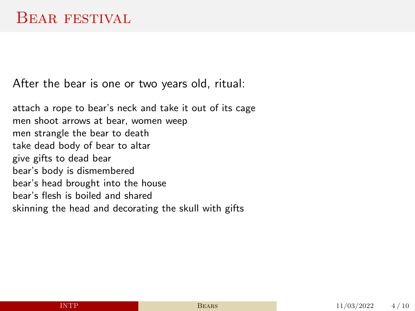After the bear is one or two years old, ritual:

attach a rope to bear's neck and take it out of its cage men shoot arrows at bear, women weep men strangle the bear to death take dead body of bear to altar give gifts to dead bear bear's body is dismembered bear's head brought into the house bear's flesh is boiled and shared skinning the head and decorating the skull with gifts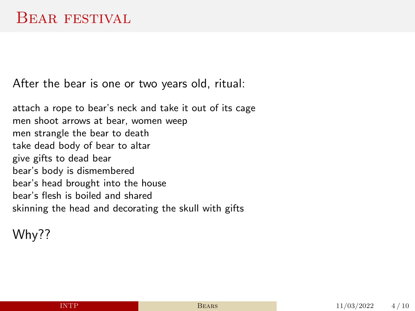After the bear is one or two years old, ritual:

attach a rope to bear's neck and take it out of its cage men shoot arrows at bear, women weep men strangle the bear to death take dead body of bear to altar give gifts to dead bear bear's body is dismembered bear's head brought into the house bear's flesh is boiled and shared skinning the head and decorating the skull with gifts

Why??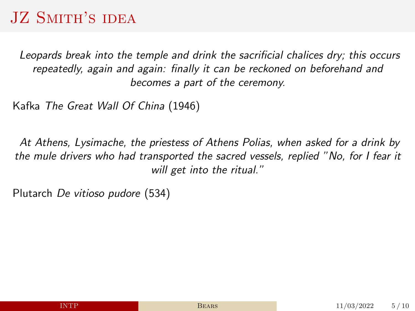# JZ SMITH'S IDEA

Leopards break into the temple and drink the sacrificial chalices dry; this occurs repeatedly, again and again: finally it can be reckoned on beforehand and becomes a part of the ceremony.

Kafka The Great Wall Of China (1946)

At Athens, Lysimache, the priestess of Athens Polias, when asked for a drink by the mule drivers who had transported the sacred vessels, replied "No, for I fear it will get into the ritual."

Plutarch De vitioso pudore (534)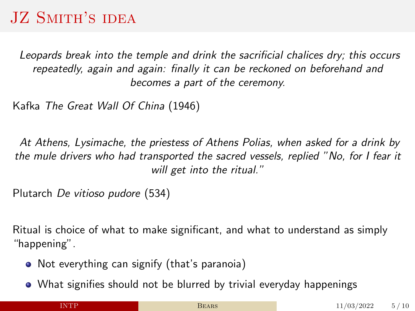# JZ SMITH'S IDEA

Leopards break into the temple and drink the sacrificial chalices dry; this occurs repeatedly, again and again: finally it can be reckoned on beforehand and becomes a part of the ceremony.

Kafka The Great Wall Of China (1946)

At Athens, Lysimache, the priestess of Athens Polias, when asked for a drink by the mule drivers who had transported the sacred vessels, replied "No, for I fear it will get into the ritual."

Plutarch De vitioso pudore (534)

Ritual is choice of what to make significant, and what to understand as simply "happening".

- Not everything can signify (that's paranoia)
- What signifies should not be blurred by trivial everyday happenings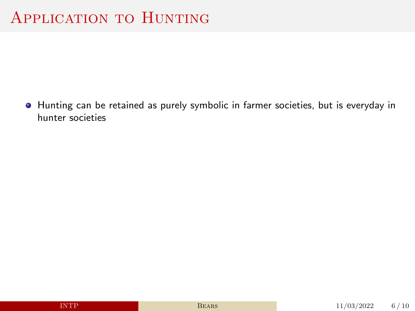Hunting can be retained as purely symbolic in farmer societies, but is everyday in hunter societies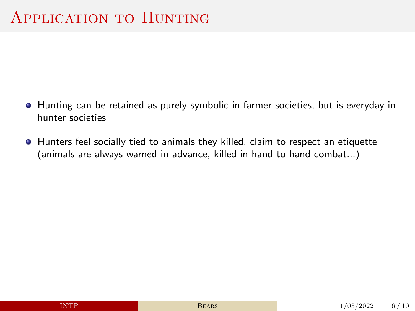- $\bullet$  Hunting can be retained as purely symbolic in farmer societies, but is everyday in hunter societies
- $\bullet$  Hunters feel socially tied to animals they killed, claim to respect an etiquette (animals are always warned in advance, killed in hand-to-hand combat...)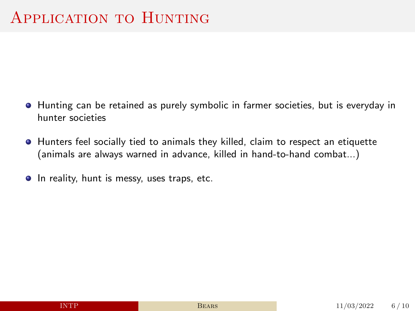- $\bullet$  Hunting can be retained as purely symbolic in farmer societies, but is everyday in hunter societies
- $\bullet$  Hunters feel socially tied to animals they killed, claim to respect an etiquette (animals are always warned in advance, killed in hand-to-hand combat...)
- In reality, hunt is messy, uses traps, etc.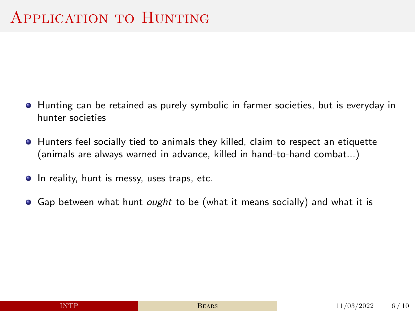- $\bullet$  Hunting can be retained as purely symbolic in farmer societies, but is everyday in hunter societies
- $\bullet$  Hunters feel socially tied to animals they killed, claim to respect an etiquette (animals are always warned in advance, killed in hand-to-hand combat...)
- In reality, hunt is messy, uses traps, etc.
- G Gap between what hunt *ought* to be (what it means socially) and what it is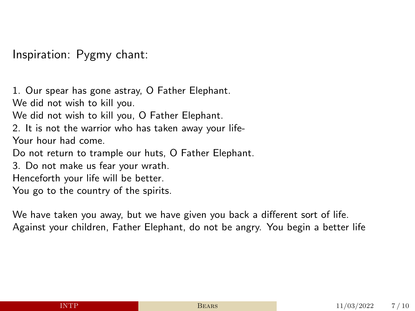Inspiration: Pygmy chant:

1. Our spear has gone astray, O Father Elephant. We did not wish to kill you. We did not wish to kill you, O Father Elephant. 2. It is not the warrior who has taken away your life-Your hour had come. Do not return to trample our huts, O Father Elephant.

3. Do not make us fear your wrath.

Henceforth your life will be better.

You go to the country of the spirits.

We have taken you away, but we have given you back a different sort of life. Against your children, Father Elephant, do not be angry. You begin a better life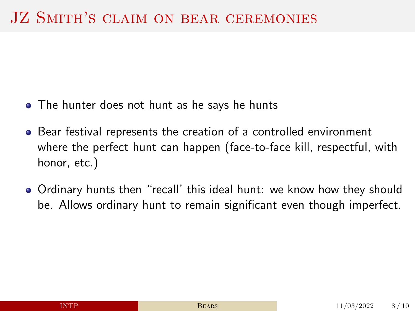- The hunter does not hunt as he says he hunts
- Bear festival represents the creation of a controlled environment where the perfect hunt can happen (face-to-face kill, respectful, with honor, etc.)
- Ordinary hunts then "recall' this ideal hunt: we know how they should be. Allows ordinary hunt to remain significant even though imperfect.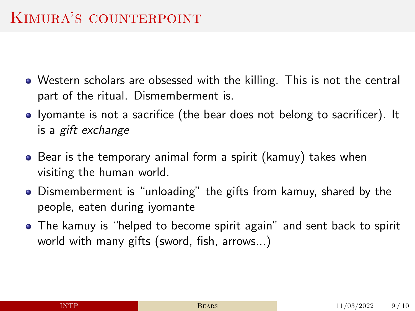- Western scholars are obsessed with the killing. This is not the central part of the ritual. Dismemberment is.
- Iyomante is not a sacrifice (the bear does not belong to sacrificer). It is a gift exchange
- Bear is the temporary animal form a spirit (kamuy) takes when visiting the human world.
- Dismemberment is "unloading" the gifts from kamuy, shared by the people, eaten during iyomante
- The kamuy is "helped to become spirit again" and sent back to spirit world with many gifts (sword, fish, arrows...)